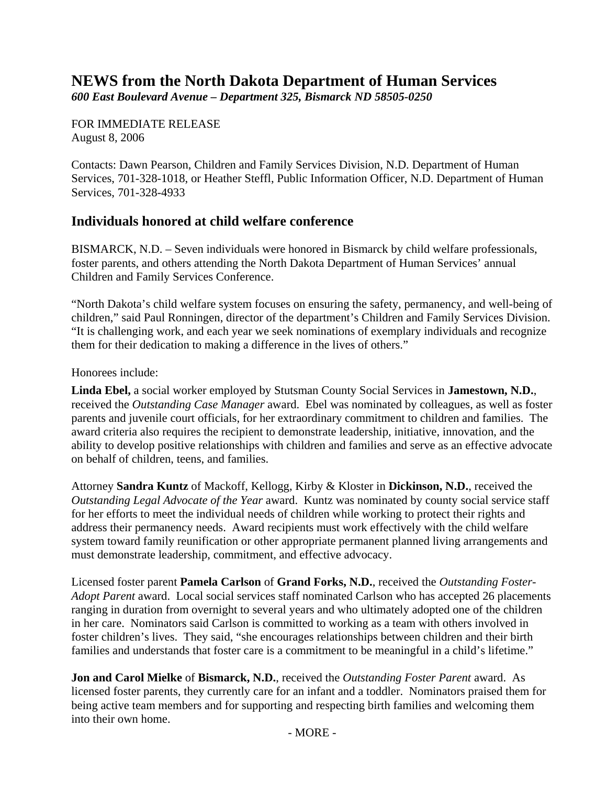## **NEWS from the North Dakota Department of Human Services**

*600 East Boulevard Avenue – Department 325, Bismarck ND 58505-0250* 

FOR IMMEDIATE RELEASE August 8, 2006

Contacts: Dawn Pearson, Children and Family Services Division, N.D. Department of Human Services, 701-328-1018, or Heather Steffl, Public Information Officer, N.D. Department of Human Services, 701-328-4933

## **Individuals honored at child welfare conference**

BISMARCK, N.D. – Seven individuals were honored in Bismarck by child welfare professionals, foster parents, and others attending the North Dakota Department of Human Services' annual Children and Family Services Conference.

"North Dakota's child welfare system focuses on ensuring the safety, permanency, and well-being of children," said Paul Ronningen, director of the department's Children and Family Services Division. "It is challenging work, and each year we seek nominations of exemplary individuals and recognize them for their dedication to making a difference in the lives of others."

Honorees include:

**Linda Ebel,** a social worker employed by Stutsman County Social Services in **Jamestown, N.D.**, received the *Outstanding Case Manager* award. Ebel was nominated by colleagues, as well as foster parents and juvenile court officials, for her extraordinary commitment to children and families. The award criteria also requires the recipient to demonstrate leadership, initiative, innovation, and the ability to develop positive relationships with children and families and serve as an effective advocate on behalf of children, teens, and families.

Attorney **Sandra Kuntz** of Mackoff, Kellogg, Kirby & Kloster in **Dickinson, N.D.**, received the *Outstanding Legal Advocate of the Year* award. Kuntz was nominated by county social service staff for her efforts to meet the individual needs of children while working to protect their rights and address their permanency needs. Award recipients must work effectively with the child welfare system toward family reunification or other appropriate permanent planned living arrangements and must demonstrate leadership, commitment, and effective advocacy.

Licensed foster parent **Pamela Carlson** of **Grand Forks, N.D.**, received the *Outstanding Foster-Adopt Parent* award. Local social services staff nominated Carlson who has accepted 26 placements ranging in duration from overnight to several years and who ultimately adopted one of the children in her care. Nominators said Carlson is committed to working as a team with others involved in foster children's lives. They said, "she encourages relationships between children and their birth families and understands that foster care is a commitment to be meaningful in a child's lifetime."

**Jon and Carol Mielke** of **Bismarck, N.D.**, received the *Outstanding Foster Parent* award. As licensed foster parents, they currently care for an infant and a toddler. Nominators praised them for being active team members and for supporting and respecting birth families and welcoming them into their own home.